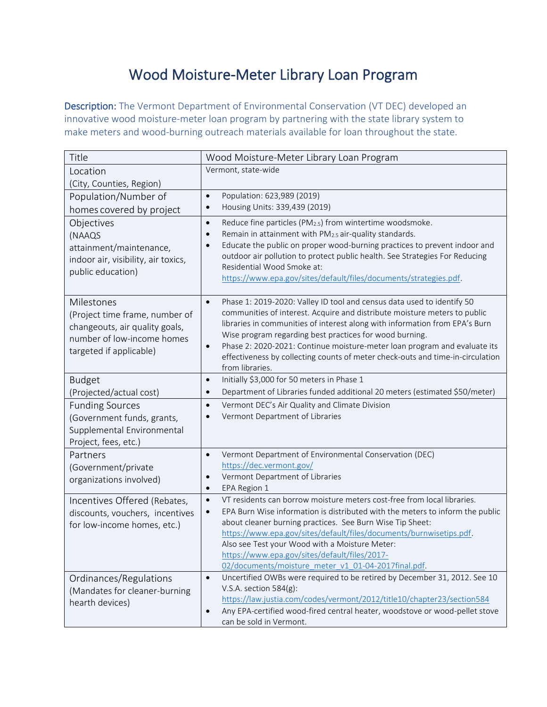## Wood Moisture-Meter Library Loan Program

Description: The Vermont Department of Environmental Conservation (VT DEC) developed an innovative wood moisture-meter loan program by partnering with the state library system to make meters and wood-burning outreach materials available for loan throughout the state.

| Title                               | Wood Moisture-Meter Library Loan Program                                                                                                                                 |
|-------------------------------------|--------------------------------------------------------------------------------------------------------------------------------------------------------------------------|
| Location                            | Vermont, state-wide                                                                                                                                                      |
| (City, Counties, Region)            |                                                                                                                                                                          |
| Population/Number of                | Population: 623,989 (2019)<br>$\bullet$                                                                                                                                  |
| homes covered by project            | Housing Units: 339,439 (2019)<br>$\bullet$                                                                                                                               |
| Objectives                          | Reduce fine particles (PM <sub>2.5</sub> ) from wintertime woodsmoke.<br>$\bullet$                                                                                       |
| (NAAQS                              | Remain in attainment with PM2.5 air-quality standards.<br>$\bullet$                                                                                                      |
| attainment/maintenance,             | Educate the public on proper wood-burning practices to prevent indoor and<br>$\bullet$<br>outdoor air pollution to protect public health. See Strategies For Reducing    |
| indoor air, visibility, air toxics, | Residential Wood Smoke at:                                                                                                                                               |
| public education)                   | https://www.epa.gov/sites/default/files/documents/strategies.pdf.                                                                                                        |
|                                     |                                                                                                                                                                          |
| Milestones                          | Phase 1: 2019-2020: Valley ID tool and census data used to identify 50<br>$\bullet$                                                                                      |
| (Project time frame, number of      | communities of interest. Acquire and distribute moisture meters to public                                                                                                |
| changeouts, air quality goals,      | libraries in communities of interest along with information from EPA's Burn                                                                                              |
| number of low-income homes          | Wise program regarding best practices for wood burning.                                                                                                                  |
| targeted if applicable)             | Phase 2: 2020-2021: Continue moisture-meter loan program and evaluate its<br>$\bullet$<br>effectiveness by collecting counts of meter check-outs and time-in-circulation |
|                                     | from libraries.                                                                                                                                                          |
| <b>Budget</b>                       | Initially \$3,000 for 50 meters in Phase 1<br>$\bullet$                                                                                                                  |
| (Projected/actual cost)             | Department of Libraries funded additional 20 meters (estimated \$50/meter)<br>$\bullet$                                                                                  |
| <b>Funding Sources</b>              | Vermont DEC's Air Quality and Climate Division<br>$\bullet$                                                                                                              |
| (Government funds, grants,          | Vermont Department of Libraries<br>$\bullet$                                                                                                                             |
| Supplemental Environmental          |                                                                                                                                                                          |
| Project, fees, etc.)                |                                                                                                                                                                          |
| Partners                            | Vermont Department of Environmental Conservation (DEC)<br>$\bullet$                                                                                                      |
| (Government/private                 | https://dec.vermont.gov/                                                                                                                                                 |
| organizations involved)             | Vermont Department of Libraries<br>$\bullet$                                                                                                                             |
|                                     | EPA Region 1<br>$\bullet$<br>VT residents can borrow moisture meters cost-free from local libraries.                                                                     |
| Incentives Offered (Rebates,        | $\bullet$<br>EPA Burn Wise information is distributed with the meters to inform the public<br>$\bullet$                                                                  |
| discounts, vouchers, incentives     | about cleaner burning practices. See Burn Wise Tip Sheet:                                                                                                                |
| for low-income homes, etc.)         | https://www.epa.gov/sites/default/files/documents/burnwisetips.pdf.                                                                                                      |
|                                     | Also see Test your Wood with a Moisture Meter:                                                                                                                           |
|                                     | https://www.epa.gov/sites/default/files/2017-                                                                                                                            |
|                                     | 02/documents/moisture meter v1 01-04-2017final.pdf.                                                                                                                      |
| Ordinances/Regulations              | Uncertified OWBs were required to be retired by December 31, 2012. See 10<br>$\bullet$                                                                                   |
| (Mandates for cleaner-burning       | V.S.A. section 584(g):                                                                                                                                                   |
| hearth devices)                     | https://law.justia.com/codes/vermont/2012/title10/chapter23/section584<br>Any EPA-certified wood-fired central heater, woodstove or wood-pellet stove<br>$\bullet$       |
|                                     | can be sold in Vermont.                                                                                                                                                  |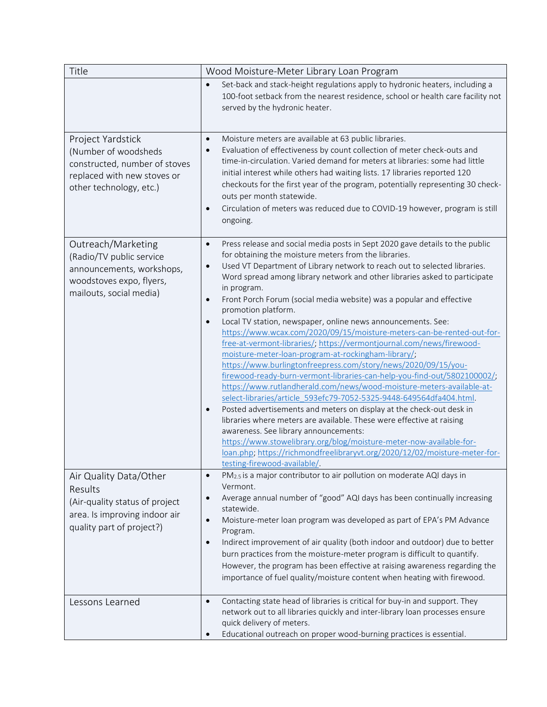| Title                                                                                                                                | Wood Moisture-Meter Library Loan Program                                                                                                                                                                                                                                                                                                                                                                                                                                                                                                                                                                                                                                                                                                                                                                                                                                                                                                                                                                                                                                                                                                                                                                                                                                                                                                                                                                                               |
|--------------------------------------------------------------------------------------------------------------------------------------|----------------------------------------------------------------------------------------------------------------------------------------------------------------------------------------------------------------------------------------------------------------------------------------------------------------------------------------------------------------------------------------------------------------------------------------------------------------------------------------------------------------------------------------------------------------------------------------------------------------------------------------------------------------------------------------------------------------------------------------------------------------------------------------------------------------------------------------------------------------------------------------------------------------------------------------------------------------------------------------------------------------------------------------------------------------------------------------------------------------------------------------------------------------------------------------------------------------------------------------------------------------------------------------------------------------------------------------------------------------------------------------------------------------------------------------|
|                                                                                                                                      | Set-back and stack-height regulations apply to hydronic heaters, including a<br>$\bullet$<br>100-foot setback from the nearest residence, school or health care facility not<br>served by the hydronic heater.                                                                                                                                                                                                                                                                                                                                                                                                                                                                                                                                                                                                                                                                                                                                                                                                                                                                                                                                                                                                                                                                                                                                                                                                                         |
| Project Yardstick<br>(Number of woodsheds<br>constructed, number of stoves<br>replaced with new stoves or<br>other technology, etc.) | Moisture meters are available at 63 public libraries.<br>$\bullet$<br>Evaluation of effectiveness by count collection of meter check-outs and<br>$\bullet$<br>time-in-circulation. Varied demand for meters at libraries: some had little<br>initial interest while others had waiting lists. 17 libraries reported 120<br>checkouts for the first year of the program, potentially representing 30 check-<br>outs per month statewide.<br>Circulation of meters was reduced due to COVID-19 however, program is still<br>$\bullet$<br>ongoing.                                                                                                                                                                                                                                                                                                                                                                                                                                                                                                                                                                                                                                                                                                                                                                                                                                                                                        |
| Outreach/Marketing<br>(Radio/TV public service<br>announcements, workshops,<br>woodstoves expo, flyers,<br>mailouts, social media)   | Press release and social media posts in Sept 2020 gave details to the public<br>$\bullet$<br>for obtaining the moisture meters from the libraries.<br>Used VT Department of Library network to reach out to selected libraries.<br>$\bullet$<br>Word spread among library network and other libraries asked to participate<br>in program.<br>Front Porch Forum (social media website) was a popular and effective<br>$\bullet$<br>promotion platform.<br>Local TV station, newspaper, online news announcements. See:<br>$\bullet$<br>https://www.wcax.com/2020/09/15/moisture-meters-can-be-rented-out-for-<br>free-at-vermont-libraries/; https://vermontjournal.com/news/firewood-<br>moisture-meter-loan-program-at-rockingham-library/;<br>https://www.burlingtonfreepress.com/story/news/2020/09/15/you-<br>firewood-ready-burn-vermont-libraries-can-help-you-find-out/5802100002/;<br>https://www.rutlandherald.com/news/wood-moisture-meters-available-at-<br>select-libraries/article 593efc79-7052-5325-9448-649564dfa404.html.<br>Posted advertisements and meters on display at the check-out desk in<br>$\bullet$<br>libraries where meters are available. These were effective at raising<br>awareness. See library announcements:<br>https://www.stowelibrary.org/blog/moisture-meter-now-available-for-<br>loan.php; https://richmondfreelibraryvt.org/2020/12/02/moisture-meter-for-<br>testing-firewood-available/. |
| Air Quality Data/Other<br>Results<br>(Air-quality status of project<br>area. Is improving indoor air<br>quality part of project?)    | PM <sub>2.5</sub> is a major contributor to air pollution on moderate AQI days in<br>$\bullet$<br>Vermont.<br>Average annual number of "good" AQI days has been continually increasing<br>$\bullet$<br>statewide.<br>Moisture-meter loan program was developed as part of EPA's PM Advance<br>$\bullet$<br>Program.<br>Indirect improvement of air quality (both indoor and outdoor) due to better<br>$\bullet$<br>burn practices from the moisture-meter program is difficult to quantify.<br>However, the program has been effective at raising awareness regarding the<br>importance of fuel quality/moisture content when heating with firewood.                                                                                                                                                                                                                                                                                                                                                                                                                                                                                                                                                                                                                                                                                                                                                                                   |
| Lessons Learned                                                                                                                      | Contacting state head of libraries is critical for buy-in and support. They<br>$\bullet$<br>network out to all libraries quickly and inter-library loan processes ensure<br>quick delivery of meters.<br>Educational outreach on proper wood-burning practices is essential.<br>$\bullet$                                                                                                                                                                                                                                                                                                                                                                                                                                                                                                                                                                                                                                                                                                                                                                                                                                                                                                                                                                                                                                                                                                                                              |